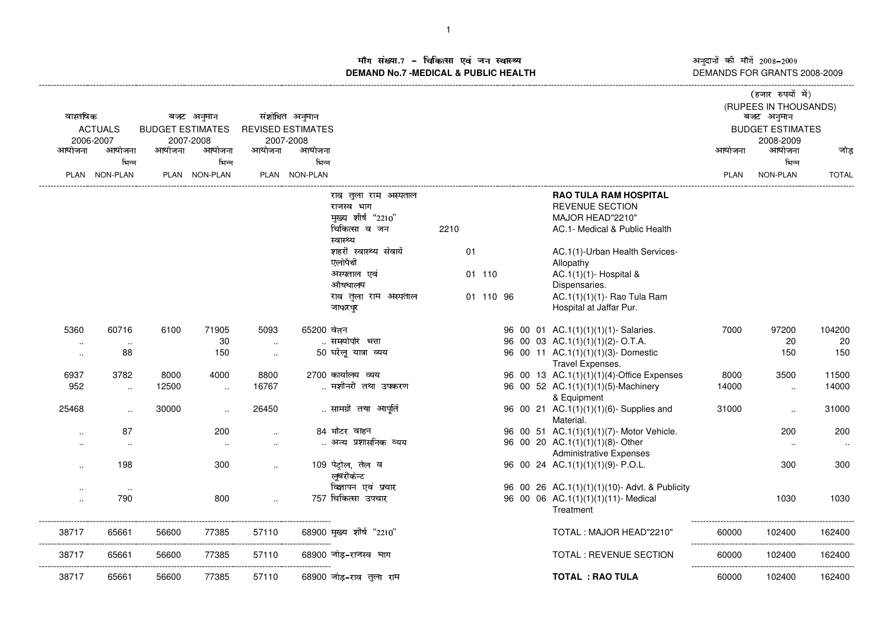म संख्या.7 – चिकित्सा एवं जन स्वास्थ्य<br>IAND No.7 -MEDICAL & DURLIC HEALTH **DEMAND No.7 -MEDICAL & PUBLIC HEALTH**

अनुदानों की माँगें 2008–2009<br>DEMANDS FOR GRANTS 2008-2009

| (RUPEES IN THOUSANDS)<br>वास्तविक<br>संशोधित अनुमान<br>बजट अनुमान<br>बजट अनुमान<br><b>ACTUALS</b><br><b>BUDGET ESTIMATES</b><br><b>REVISED ESTIMATES</b><br><b>BUDGET ESTIMATES</b><br>2006-2007<br>2007-2008<br>2007-2008<br>2008-2009<br>आयोजना<br>आयोजना<br>आयोजना<br>आयोजना<br>आयोजना<br>आयोजना<br>आयोजना<br>आयोजना<br>भिन्न<br>भिन्न<br>भिन्न<br>भिन्न<br>PLAN NON-PLAN<br>PLAN NON-PLAN<br>PLAN NON-PLAN<br>NON-PLAN<br><b>PLAN</b><br><b>RAO TULA RAM HOSPITAL</b><br>राव तुला राम अस्पताल<br><b>REVENUE SECTION</b><br>राजस्व भाग<br>मुख्य शीर्ष "2210"<br>MAJOR HEAD"2210"<br>चिकित्सा व जन<br>2210<br>AC.1- Medical & Public Health<br>स्वास्थ्य<br>शहरी स्वास्थ्य सेवायें<br>01<br>AC.1(1)-Urban Health Services-<br>एलोपैथी<br>Allopathy<br>अस्पताल एवं<br>01 110<br>AC.1(1)(1)- Hospital &<br>औषधालय<br>Dispensaries.<br>AC.1(1)(1)(1)- Rao Tula Ram<br>01 110 96<br>राव तुला राम अस्पताल<br>Hospital at Jaffar Pur.<br>जाफरपुर<br>65200 वेतन<br>5360<br>60716<br>6100<br>71905<br>5093<br>96 00 01 AC.1(1)(1)(1)(1)- Salaries.<br>7000<br>97200<br>समयोपरि भत्ता<br>30<br>96 00 03 AC.1(1)(1)(1)(2)- O.T.A.<br>20<br>$\sim$<br>$\sim$<br>$\cdots$<br>50 घरेलू यात्रा व्यय<br>96 00 11 AC.1(1)(1)(1)(3)- Domestic<br>88<br>150<br>150<br>$\ddotsc$<br><br>Travel Expenses.<br>6937<br>3782<br>8800<br>2700 कार्यालय व्यय<br>96 00 13 AC.1(1)(1)(1)(4)-Office Expenses<br>3500<br>8000<br>4000<br>8000<br>मशीनरी तथा उपकरण<br>952<br>12500<br>16767<br>96 00 52 AC.1(1)(1)(1)(5)-Machinery<br>14000<br>$\sim$<br>$\sim$<br>$\ddotsc$<br>& Equipment<br>30000<br>26450<br>सामग्री तथा आपूर्ति<br>96 00 21 AC.1(1)(1)(1)(6)- Supplies and<br>25468<br>31000<br>$\sim$<br>$\ddot{\phantom{a}}$<br>$\ddotsc$<br>Material.<br>84 मोटर वाहन<br>87<br>200<br>96 00 51 AC.1(1)(1)(1)(7)- Motor Vehicle.<br>200<br>$\ddot{\phantom{a}}$<br>$\ddot{\phantom{a}}$<br>अन्य प्रशासनिक व्यय<br>96 00 20 AC.1(1)(1)(1)(8)-Other<br><b>Administrative Expenses</b><br>109 पेट्रोल, तेल व<br>198<br>96 00 24 AC.1(1)(1)(1)(9)- P.O.L.<br>300<br>300<br>लूबरीकेन्ट<br>विज्ञापन एवं प्रचार<br>96 00 26 AC.1(1)(1)(1)(10)- Advt. & Publicity<br>$\sim$<br>757 चिकित्सा उपचार<br>790<br>800<br>96 00 06 AC.1(1)(1)(1)(11)- Medical<br>1030<br>$\ddot{\phantom{a}}$<br>Treatment<br>38717<br>56600<br>68900 मुख्य शीर्ष "2210"<br>TOTAL: MAJOR HEAD"2210"<br>65661<br>77385<br>57110<br>60000<br>102400<br>---------------------------<br>38717<br>56600<br>TOTAL : REVENUE SECTION<br>65661<br>77385<br>57110<br>68900 जोड-राजस्व भाग<br>60000<br>102400<br> |  |  |  |  |  |  |  |  |  |  |  |  | (हजार रुपयों में) |              |
|-----------------------------------------------------------------------------------------------------------------------------------------------------------------------------------------------------------------------------------------------------------------------------------------------------------------------------------------------------------------------------------------------------------------------------------------------------------------------------------------------------------------------------------------------------------------------------------------------------------------------------------------------------------------------------------------------------------------------------------------------------------------------------------------------------------------------------------------------------------------------------------------------------------------------------------------------------------------------------------------------------------------------------------------------------------------------------------------------------------------------------------------------------------------------------------------------------------------------------------------------------------------------------------------------------------------------------------------------------------------------------------------------------------------------------------------------------------------------------------------------------------------------------------------------------------------------------------------------------------------------------------------------------------------------------------------------------------------------------------------------------------------------------------------------------------------------------------------------------------------------------------------------------------------------------------------------------------------------------------------------------------------------------------------------------------------------------------------------------------------------------------------------------------------------------------------------------------------------------------------------------------------------------------------------------------------------------------------------------------------------------------------------------------------------------------------------------------------------------------------------------------------------------------------------------|--|--|--|--|--|--|--|--|--|--|--|--|-------------------|--------------|
|                                                                                                                                                                                                                                                                                                                                                                                                                                                                                                                                                                                                                                                                                                                                                                                                                                                                                                                                                                                                                                                                                                                                                                                                                                                                                                                                                                                                                                                                                                                                                                                                                                                                                                                                                                                                                                                                                                                                                                                                                                                                                                                                                                                                                                                                                                                                                                                                                                                                                                                                                     |  |  |  |  |  |  |  |  |  |  |  |  |                   |              |
|                                                                                                                                                                                                                                                                                                                                                                                                                                                                                                                                                                                                                                                                                                                                                                                                                                                                                                                                                                                                                                                                                                                                                                                                                                                                                                                                                                                                                                                                                                                                                                                                                                                                                                                                                                                                                                                                                                                                                                                                                                                                                                                                                                                                                                                                                                                                                                                                                                                                                                                                                     |  |  |  |  |  |  |  |  |  |  |  |  |                   |              |
|                                                                                                                                                                                                                                                                                                                                                                                                                                                                                                                                                                                                                                                                                                                                                                                                                                                                                                                                                                                                                                                                                                                                                                                                                                                                                                                                                                                                                                                                                                                                                                                                                                                                                                                                                                                                                                                                                                                                                                                                                                                                                                                                                                                                                                                                                                                                                                                                                                                                                                                                                     |  |  |  |  |  |  |  |  |  |  |  |  |                   |              |
|                                                                                                                                                                                                                                                                                                                                                                                                                                                                                                                                                                                                                                                                                                                                                                                                                                                                                                                                                                                                                                                                                                                                                                                                                                                                                                                                                                                                                                                                                                                                                                                                                                                                                                                                                                                                                                                                                                                                                                                                                                                                                                                                                                                                                                                                                                                                                                                                                                                                                                                                                     |  |  |  |  |  |  |  |  |  |  |  |  |                   | जोड          |
|                                                                                                                                                                                                                                                                                                                                                                                                                                                                                                                                                                                                                                                                                                                                                                                                                                                                                                                                                                                                                                                                                                                                                                                                                                                                                                                                                                                                                                                                                                                                                                                                                                                                                                                                                                                                                                                                                                                                                                                                                                                                                                                                                                                                                                                                                                                                                                                                                                                                                                                                                     |  |  |  |  |  |  |  |  |  |  |  |  |                   |              |
|                                                                                                                                                                                                                                                                                                                                                                                                                                                                                                                                                                                                                                                                                                                                                                                                                                                                                                                                                                                                                                                                                                                                                                                                                                                                                                                                                                                                                                                                                                                                                                                                                                                                                                                                                                                                                                                                                                                                                                                                                                                                                                                                                                                                                                                                                                                                                                                                                                                                                                                                                     |  |  |  |  |  |  |  |  |  |  |  |  |                   | <b>TOTAL</b> |
|                                                                                                                                                                                                                                                                                                                                                                                                                                                                                                                                                                                                                                                                                                                                                                                                                                                                                                                                                                                                                                                                                                                                                                                                                                                                                                                                                                                                                                                                                                                                                                                                                                                                                                                                                                                                                                                                                                                                                                                                                                                                                                                                                                                                                                                                                                                                                                                                                                                                                                                                                     |  |  |  |  |  |  |  |  |  |  |  |  |                   |              |
|                                                                                                                                                                                                                                                                                                                                                                                                                                                                                                                                                                                                                                                                                                                                                                                                                                                                                                                                                                                                                                                                                                                                                                                                                                                                                                                                                                                                                                                                                                                                                                                                                                                                                                                                                                                                                                                                                                                                                                                                                                                                                                                                                                                                                                                                                                                                                                                                                                                                                                                                                     |  |  |  |  |  |  |  |  |  |  |  |  |                   |              |
|                                                                                                                                                                                                                                                                                                                                                                                                                                                                                                                                                                                                                                                                                                                                                                                                                                                                                                                                                                                                                                                                                                                                                                                                                                                                                                                                                                                                                                                                                                                                                                                                                                                                                                                                                                                                                                                                                                                                                                                                                                                                                                                                                                                                                                                                                                                                                                                                                                                                                                                                                     |  |  |  |  |  |  |  |  |  |  |  |  |                   |              |
|                                                                                                                                                                                                                                                                                                                                                                                                                                                                                                                                                                                                                                                                                                                                                                                                                                                                                                                                                                                                                                                                                                                                                                                                                                                                                                                                                                                                                                                                                                                                                                                                                                                                                                                                                                                                                                                                                                                                                                                                                                                                                                                                                                                                                                                                                                                                                                                                                                                                                                                                                     |  |  |  |  |  |  |  |  |  |  |  |  |                   |              |
|                                                                                                                                                                                                                                                                                                                                                                                                                                                                                                                                                                                                                                                                                                                                                                                                                                                                                                                                                                                                                                                                                                                                                                                                                                                                                                                                                                                                                                                                                                                                                                                                                                                                                                                                                                                                                                                                                                                                                                                                                                                                                                                                                                                                                                                                                                                                                                                                                                                                                                                                                     |  |  |  |  |  |  |  |  |  |  |  |  |                   |              |
|                                                                                                                                                                                                                                                                                                                                                                                                                                                                                                                                                                                                                                                                                                                                                                                                                                                                                                                                                                                                                                                                                                                                                                                                                                                                                                                                                                                                                                                                                                                                                                                                                                                                                                                                                                                                                                                                                                                                                                                                                                                                                                                                                                                                                                                                                                                                                                                                                                                                                                                                                     |  |  |  |  |  |  |  |  |  |  |  |  |                   |              |
|                                                                                                                                                                                                                                                                                                                                                                                                                                                                                                                                                                                                                                                                                                                                                                                                                                                                                                                                                                                                                                                                                                                                                                                                                                                                                                                                                                                                                                                                                                                                                                                                                                                                                                                                                                                                                                                                                                                                                                                                                                                                                                                                                                                                                                                                                                                                                                                                                                                                                                                                                     |  |  |  |  |  |  |  |  |  |  |  |  |                   |              |
|                                                                                                                                                                                                                                                                                                                                                                                                                                                                                                                                                                                                                                                                                                                                                                                                                                                                                                                                                                                                                                                                                                                                                                                                                                                                                                                                                                                                                                                                                                                                                                                                                                                                                                                                                                                                                                                                                                                                                                                                                                                                                                                                                                                                                                                                                                                                                                                                                                                                                                                                                     |  |  |  |  |  |  |  |  |  |  |  |  |                   |              |
|                                                                                                                                                                                                                                                                                                                                                                                                                                                                                                                                                                                                                                                                                                                                                                                                                                                                                                                                                                                                                                                                                                                                                                                                                                                                                                                                                                                                                                                                                                                                                                                                                                                                                                                                                                                                                                                                                                                                                                                                                                                                                                                                                                                                                                                                                                                                                                                                                                                                                                                                                     |  |  |  |  |  |  |  |  |  |  |  |  |                   |              |
|                                                                                                                                                                                                                                                                                                                                                                                                                                                                                                                                                                                                                                                                                                                                                                                                                                                                                                                                                                                                                                                                                                                                                                                                                                                                                                                                                                                                                                                                                                                                                                                                                                                                                                                                                                                                                                                                                                                                                                                                                                                                                                                                                                                                                                                                                                                                                                                                                                                                                                                                                     |  |  |  |  |  |  |  |  |  |  |  |  |                   |              |
|                                                                                                                                                                                                                                                                                                                                                                                                                                                                                                                                                                                                                                                                                                                                                                                                                                                                                                                                                                                                                                                                                                                                                                                                                                                                                                                                                                                                                                                                                                                                                                                                                                                                                                                                                                                                                                                                                                                                                                                                                                                                                                                                                                                                                                                                                                                                                                                                                                                                                                                                                     |  |  |  |  |  |  |  |  |  |  |  |  |                   | 104200       |
|                                                                                                                                                                                                                                                                                                                                                                                                                                                                                                                                                                                                                                                                                                                                                                                                                                                                                                                                                                                                                                                                                                                                                                                                                                                                                                                                                                                                                                                                                                                                                                                                                                                                                                                                                                                                                                                                                                                                                                                                                                                                                                                                                                                                                                                                                                                                                                                                                                                                                                                                                     |  |  |  |  |  |  |  |  |  |  |  |  |                   | 20           |
|                                                                                                                                                                                                                                                                                                                                                                                                                                                                                                                                                                                                                                                                                                                                                                                                                                                                                                                                                                                                                                                                                                                                                                                                                                                                                                                                                                                                                                                                                                                                                                                                                                                                                                                                                                                                                                                                                                                                                                                                                                                                                                                                                                                                                                                                                                                                                                                                                                                                                                                                                     |  |  |  |  |  |  |  |  |  |  |  |  |                   | 150          |
|                                                                                                                                                                                                                                                                                                                                                                                                                                                                                                                                                                                                                                                                                                                                                                                                                                                                                                                                                                                                                                                                                                                                                                                                                                                                                                                                                                                                                                                                                                                                                                                                                                                                                                                                                                                                                                                                                                                                                                                                                                                                                                                                                                                                                                                                                                                                                                                                                                                                                                                                                     |  |  |  |  |  |  |  |  |  |  |  |  |                   | 11500        |
|                                                                                                                                                                                                                                                                                                                                                                                                                                                                                                                                                                                                                                                                                                                                                                                                                                                                                                                                                                                                                                                                                                                                                                                                                                                                                                                                                                                                                                                                                                                                                                                                                                                                                                                                                                                                                                                                                                                                                                                                                                                                                                                                                                                                                                                                                                                                                                                                                                                                                                                                                     |  |  |  |  |  |  |  |  |  |  |  |  |                   | 14000        |
|                                                                                                                                                                                                                                                                                                                                                                                                                                                                                                                                                                                                                                                                                                                                                                                                                                                                                                                                                                                                                                                                                                                                                                                                                                                                                                                                                                                                                                                                                                                                                                                                                                                                                                                                                                                                                                                                                                                                                                                                                                                                                                                                                                                                                                                                                                                                                                                                                                                                                                                                                     |  |  |  |  |  |  |  |  |  |  |  |  |                   |              |
|                                                                                                                                                                                                                                                                                                                                                                                                                                                                                                                                                                                                                                                                                                                                                                                                                                                                                                                                                                                                                                                                                                                                                                                                                                                                                                                                                                                                                                                                                                                                                                                                                                                                                                                                                                                                                                                                                                                                                                                                                                                                                                                                                                                                                                                                                                                                                                                                                                                                                                                                                     |  |  |  |  |  |  |  |  |  |  |  |  |                   | 31000        |
|                                                                                                                                                                                                                                                                                                                                                                                                                                                                                                                                                                                                                                                                                                                                                                                                                                                                                                                                                                                                                                                                                                                                                                                                                                                                                                                                                                                                                                                                                                                                                                                                                                                                                                                                                                                                                                                                                                                                                                                                                                                                                                                                                                                                                                                                                                                                                                                                                                                                                                                                                     |  |  |  |  |  |  |  |  |  |  |  |  |                   | 200          |
|                                                                                                                                                                                                                                                                                                                                                                                                                                                                                                                                                                                                                                                                                                                                                                                                                                                                                                                                                                                                                                                                                                                                                                                                                                                                                                                                                                                                                                                                                                                                                                                                                                                                                                                                                                                                                                                                                                                                                                                                                                                                                                                                                                                                                                                                                                                                                                                                                                                                                                                                                     |  |  |  |  |  |  |  |  |  |  |  |  |                   | $\ldots$     |
|                                                                                                                                                                                                                                                                                                                                                                                                                                                                                                                                                                                                                                                                                                                                                                                                                                                                                                                                                                                                                                                                                                                                                                                                                                                                                                                                                                                                                                                                                                                                                                                                                                                                                                                                                                                                                                                                                                                                                                                                                                                                                                                                                                                                                                                                                                                                                                                                                                                                                                                                                     |  |  |  |  |  |  |  |  |  |  |  |  |                   | 300          |
|                                                                                                                                                                                                                                                                                                                                                                                                                                                                                                                                                                                                                                                                                                                                                                                                                                                                                                                                                                                                                                                                                                                                                                                                                                                                                                                                                                                                                                                                                                                                                                                                                                                                                                                                                                                                                                                                                                                                                                                                                                                                                                                                                                                                                                                                                                                                                                                                                                                                                                                                                     |  |  |  |  |  |  |  |  |  |  |  |  |                   |              |
|                                                                                                                                                                                                                                                                                                                                                                                                                                                                                                                                                                                                                                                                                                                                                                                                                                                                                                                                                                                                                                                                                                                                                                                                                                                                                                                                                                                                                                                                                                                                                                                                                                                                                                                                                                                                                                                                                                                                                                                                                                                                                                                                                                                                                                                                                                                                                                                                                                                                                                                                                     |  |  |  |  |  |  |  |  |  |  |  |  |                   | 1030         |
|                                                                                                                                                                                                                                                                                                                                                                                                                                                                                                                                                                                                                                                                                                                                                                                                                                                                                                                                                                                                                                                                                                                                                                                                                                                                                                                                                                                                                                                                                                                                                                                                                                                                                                                                                                                                                                                                                                                                                                                                                                                                                                                                                                                                                                                                                                                                                                                                                                                                                                                                                     |  |  |  |  |  |  |  |  |  |  |  |  |                   | 162400       |
|                                                                                                                                                                                                                                                                                                                                                                                                                                                                                                                                                                                                                                                                                                                                                                                                                                                                                                                                                                                                                                                                                                                                                                                                                                                                                                                                                                                                                                                                                                                                                                                                                                                                                                                                                                                                                                                                                                                                                                                                                                                                                                                                                                                                                                                                                                                                                                                                                                                                                                                                                     |  |  |  |  |  |  |  |  |  |  |  |  |                   | 162400       |
| <b>TOTAL: RAO TULA</b><br>38717<br>65661<br>56600<br>77385<br>57110<br>68900 जोड़–राव तुला राम<br>60000<br>102400                                                                                                                                                                                                                                                                                                                                                                                                                                                                                                                                                                                                                                                                                                                                                                                                                                                                                                                                                                                                                                                                                                                                                                                                                                                                                                                                                                                                                                                                                                                                                                                                                                                                                                                                                                                                                                                                                                                                                                                                                                                                                                                                                                                                                                                                                                                                                                                                                                   |  |  |  |  |  |  |  |  |  |  |  |  |                   | 162400       |